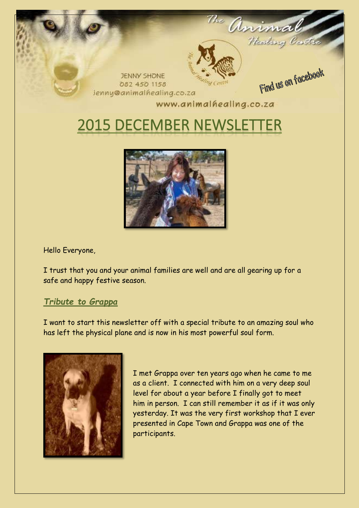



Hello Everyone,

I trust that you and your animal families are well and are all gearing up for a safe and happy festive season.

# *Tribute to Grappa*

I want to start this newsletter off with a special tribute to an amazing soul who has left the physical plane and is now in his most powerful soul form.



I met Grappa over ten years ago when he came to me as a client. I connected with him on a very deep soul level for about a year before I finally got to meet him in person. I can still remember it as if it was only yesterday. It was the very first workshop that I ever presented in Cape Town and Grappa was one of the participants.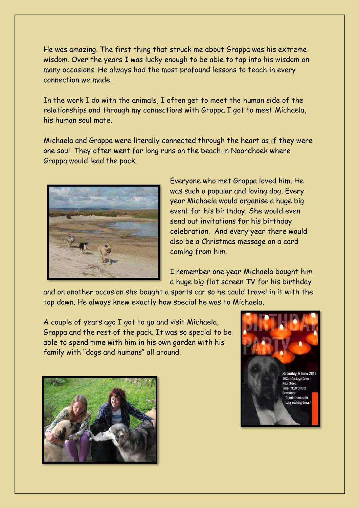He was amazing. The first thing that struck me about Grappa was his extreme wisdom. Over the years I was lucky enough to be able to tap into his wisdom on many occasions. He always had the most profound lessons to teach in every connection we made.

In the work I do with the animals, I often get to meet the human side of the relationships and through my connections with Grappa I got to meet Michaela, his human soul mate.

Michaela and Grappa were literally connected through the heart as if they were one soul. They often went for long runs on the beach in Noordhoek where Grappa would lead the pack.



Everyone who met Grappa loved him. He was such a popular and loving dog. Every year Michaela would organise a huge big event for his birthday. She would even send out invitations for his birthday celebration. And every year there would also be a Christmas message on a card coming from him.

I remember one year Michaela bought him a huge big flat screen TV for his birthday

and on another occasion she bought a sports car so he could travel in it with the top down. He always knew exactly how special he was to Michaela.

A couple of years ago I got to go and visit Michaela, Grappa and the rest of the pack. It was so special to be able to spend time with him in his own garden with his family with ''dogs and humans'' all around.



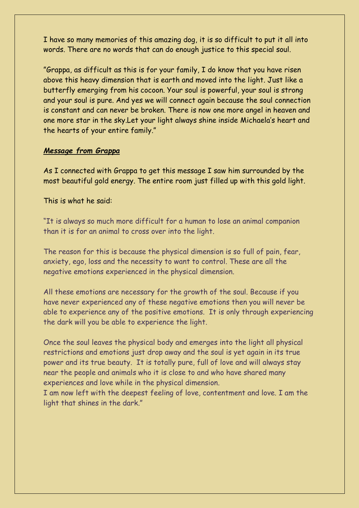I have so many memories of this amazing dog, it is so difficult to put it all into words. There are no words that can do enough justice to this special soul.

"Grappa, as difficult as this is for your family, I do know that you have risen above this heavy dimension that is earth and moved into the light. Just like a butterfly emerging from his cocoon. Your soul is powerful, your soul is strong and your soul is pure. And yes we will connect again because the soul connection is constant and can never be broken. There is now one more angel in heaven and one more star in the sky.Let your light always shine inside Michaela's heart and the hearts of your entire family."

### *Message from Grappa*

As I connected with Grappa to get this message I saw him surrounded by the most beautiful gold energy. The entire room just filled up with this gold light.

This is what he said:

"It is always so much more difficult for a human to lose an animal companion than it is for an animal to cross over into the light.

The reason for this is because the physical dimension is so full of pain, fear, anxiety, ego, loss and the necessity to want to control. These are all the negative emotions experienced in the physical dimension.

All these emotions are necessary for the growth of the soul. Because if you have never experienced any of these negative emotions then you will never be able to experience any of the positive emotions. It is only through experiencing the dark will you be able to experience the light.

Once the soul leaves the physical body and emerges into the light all physical restrictions and emotions just drop away and the soul is yet again in its true power and its true beauty. It is totally pure, full of love and will always stay near the people and animals who it is close to and who have shared many experiences and love while in the physical dimension.

I am now left with the deepest feeling of love, contentment and love. I am the light that shines in the dark."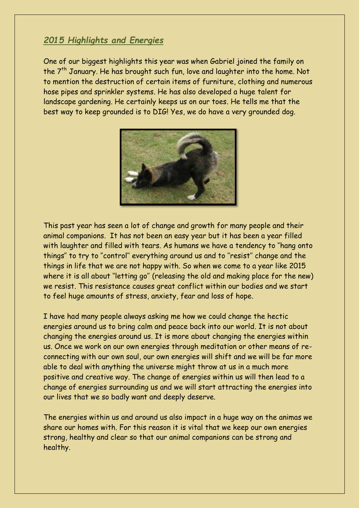# *2015 Highlights and Energies*

One of our biggest highlights this year was when Gabriel joined the family on the  $7<sup>th</sup>$  January. He has brought such fun, love and laughter into the home. Not to mention the destruction of certain items of furniture, clothing and numerous hose pipes and sprinkler systems. He has also developed a huge talent for landscape gardening. He certainly keeps us on our toes. He tells me that the best way to keep grounded is to DIG! Yes, we do have a very grounded dog.



This past year has seen a lot of change and growth for many people and their animal companions. It has not been an easy year but it has been a year filled with laughter and filled with tears. As humans we have a tendency to ''hang onto things'' to try to ''control'' everything around us and to ''resist'' change and the things in life that we are not happy with. So when we come to a year like 2015 where it is all about "letting go" (releasing the old and making place for the new) we resist. This resistance causes great conflict within our bodies and we start to feel huge amounts of stress, anxiety, fear and loss of hope.

I have had many people always asking me how we could change the hectic energies around us to bring calm and peace back into our world. It is not about changing the energies around us. It is more about changing the energies within us. Once we work on our own energies through meditation or other means of reconnecting with our own soul, our own energies will shift and we will be far more able to deal with anything the universe might throw at us in a much more positive and creative way. The change of energies within us will then lead to a change of energies surrounding us and we will start attracting the energies into our lives that we so badly want and deeply deserve.

The energies within us and around us also impact in a huge way on the animas we share our homes with. For this reason it is vital that we keep our own energies strong, healthy and clear so that our animal companions can be strong and healthy.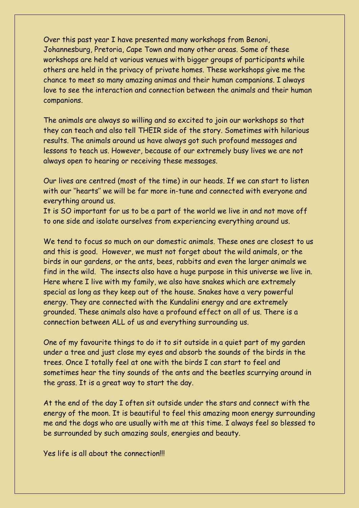Over this past year I have presented many workshops from Benoni, Johannesburg, Pretoria, Cape Town and many other areas. Some of these workshops are held at various venues with bigger groups of participants while others are held in the privacy of private homes. These workshops give me the chance to meet so many amazing animas and their human companions. I always love to see the interaction and connection between the animals and their human companions.

The animals are always so willing and so excited to join our workshops so that they can teach and also tell THEIR side of the story. Sometimes with hilarious results. The animals around us have always got such profound messages and lessons to teach us. However, because of our extremely busy lives we are not always open to hearing or receiving these messages.

Our lives are centred (most of the time) in our heads. If we can start to listen with our ''hearts'' we will be far more in-tune and connected with everyone and everything around us.

It is SO important for us to be a part of the world we live in and not move off to one side and isolate ourselves from experiencing everything around us.

We tend to focus so much on our domestic animals. These ones are closest to us and this is good. However, we must not forget about the wild animals, or the birds in our gardens, or the ants, bees, rabbits and even the larger animals we find in the wild. The insects also have a huge purpose in this universe we live in. Here where I live with my family, we also have snakes which are extremely special as long as they keep out of the house. Snakes have a very powerful energy. They are connected with the Kundalini energy and are extremely grounded. These animals also have a profound effect on all of us. There is a connection between ALL of us and everything surrounding us.

One of my favourite things to do it to sit outside in a quiet part of my garden under a tree and just close my eyes and absorb the sounds of the birds in the trees. Once I totally feel at one with the birds I can start to feel and sometimes hear the tiny sounds of the ants and the beetles scurrying around in the grass. It is a great way to start the day.

At the end of the day I often sit outside under the stars and connect with the energy of the moon. It is beautiful to feel this amazing moon energy surrounding me and the dogs who are usually with me at this time. I always feel so blessed to be surrounded by such amazing souls, energies and beauty.

Yes life is all about the connection!!!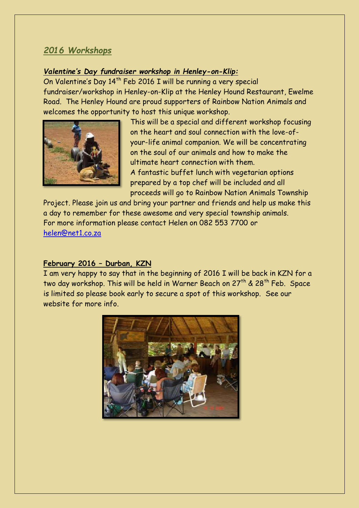# *2016 Workshops*

### *Valentine's Day fundraiser workshop in Henley-on-Klip:*

On Valentine's Day 14<sup>th</sup> Feb 2016 I will be running a very special fundraiser/workshop in Henley-on-Klip at the Henley Hound Restaurant, Ewelme Road. The Henley Hound are proud supporters of Rainbow Nation Animals and welcomes the opportunity to host this unique workshop.



This will be a special and different workshop focusing on the heart and soul connection with the love-ofyour-life animal companion. We will be concentrating on the soul of our animals and how to make the ultimate heart connection with them.

A fantastic buffet lunch with vegetarian options prepared by a top chef will be included and all proceeds will go to Rainbow Nation Animals Township

Project. Please join us and bring your partner and friends and help us make this a day to remember for these awesome and very special township animals. For more information please contact Helen on 082 553 7700 or [helen@net1.co.za](mailto:helen@net1.co.za)

### **February 2016 – Durban, KZN**

I am very happy to say that in the beginning of 2016 I will be back in KZN for a two day workshop. This will be held in Warner Beach on  $27<sup>th</sup>$  &  $28<sup>th</sup>$  Feb. Space is limited so please book early to secure a spot of this workshop. See our website for more info.

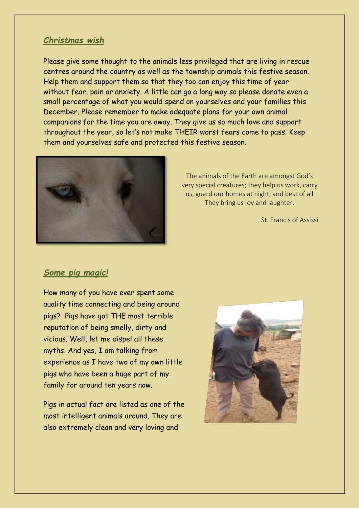# *Christmas wish*

Please give some thought to the animals less privileged that are living in rescue centres around the country as well as the township animals this festive season. Help them and support them so that they too can enjoy this time of year without fear, pain or anxiety. A little can go a long way so please donate even a small percentage of what you would spend on yourselves and your families this December. Please remember to make adequate plans for your own animal companions for the time you are away. They give us so much love and support throughout the year, so let's not make THEIR worst fears come to pass. Keep them and yourselves safe and protected this festive season.



The animals of the Earth are amongst God's very special creatures; they help us work, carry us, guard our homes at night, and best of all They bring us joy and laughter.

St. Francis of Assissi

### *Some pig magic!*

How many of you have ever spent some quality time connecting and being around pigs? Pigs have got THE most terrible reputation of being smelly, dirty and vicious. Well, let me dispel all these myths. And yes, I am talking from experience as I have two of my own little pigs who have been a huge part of my family for around ten years now.

Pigs in actual fact are listed as one of the most intelligent animals around. They are also extremely clean and very loving and

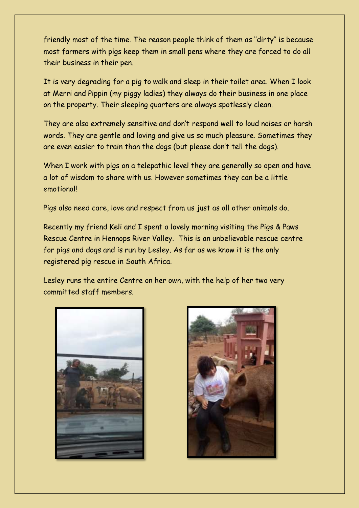friendly most of the time. The reason people think of them as ''dirty'' is because most farmers with pigs keep them in small pens where they are forced to do all their business in their pen.

It is very degrading for a pig to walk and sleep in their toilet area. When I look at Merri and Pippin (my piggy ladies) they always do their business in one place on the property. Their sleeping quarters are always spotlessly clean.

They are also extremely sensitive and don't respond well to loud noises or harsh words. They are gentle and loving and give us so much pleasure. Sometimes they are even easier to train than the dogs (but please don't tell the dogs).

When I work with pigs on a telepathic level they are generally so open and have a lot of wisdom to share with us. However sometimes they can be a little emotional!

Pigs also need care, love and respect from us just as all other animals do.

Recently my friend Keli and I spent a lovely morning visiting the Pigs & Paws Rescue Centre in Hennops River Valley. This is an unbelievable rescue centre for pigs and dogs and is run by Lesley. As far as we know it is the only registered pig rescue in South Africa.

Lesley runs the entire Centre on her own, with the help of her two very committed staff members.



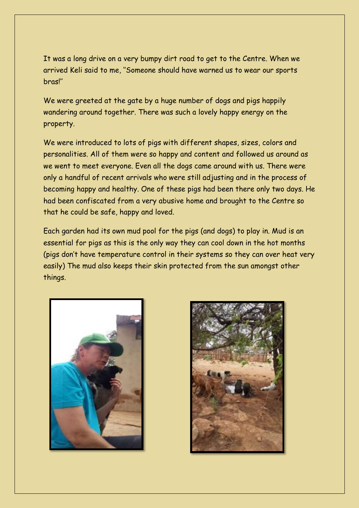It was a long drive on a very bumpy dirt road to get to the Centre. When we arrived Keli said to me, ''Someone should have warned us to wear our sports bras!''

We were greeted at the gate by a huge number of dogs and pigs happily wandering around together. There was such a lovely happy energy on the property.

We were introduced to lots of pigs with different shapes, sizes, colors and personalities. All of them were so happy and content and followed us around as we went to meet everyone. Even all the dogs came around with us. There were only a handful of recent arrivals who were still adjusting and in the process of becoming happy and healthy. One of these pigs had been there only two days. He had been confiscated from a very abusive home and brought to the Centre so that he could be safe, happy and loved.

Each garden had its own mud pool for the pigs (and dogs) to play in. Mud is an essential for pigs as this is the only way they can cool down in the hot months (pigs don't have temperature control in their systems so they can over heat very easily) The mud also keeps their skin protected from the sun amongst other things.



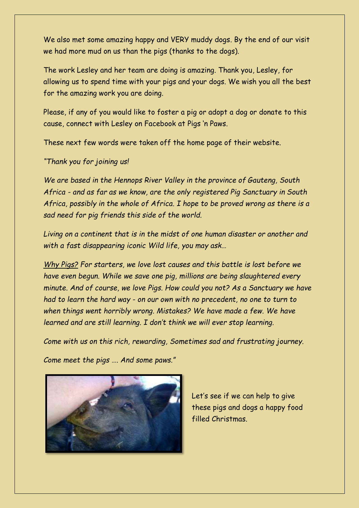We also met some amazing happy and VERY muddy dogs. By the end of our visit we had more mud on us than the pigs (thanks to the dogs).

The work Lesley and her team are doing is amazing. Thank you, Lesley, for allowing us to spend time with your pigs and your dogs. We wish you all the best for the amazing work you are doing.

Please, if any of you would like to foster a pig or adopt a dog or donate to this cause, connect with Lesley on Facebook at Pigs 'n Paws.

These next few words were taken off the home page of their website.

# *"Thank you for joining us!*

*We are based in the Hennops River Valley in the province of Gauteng, South Africa - and as far as we know, are the only registered Pig Sanctuary in South Africa, possibly in the whole of Africa. I hope to be proved wrong as there is a sad need for pig friends this side of the world.*

*Living on a continent that is in the midst of one human disaster or another and with a fast disappearing iconic Wild life, you may ask…* 

*Why Pigs? For starters, we love lost causes and this battle is lost before we have even begun. While we save one pig, millions are being slaughtered every minute. And of course, we love Pigs. How could you not? As a Sanctuary we have had to learn the hard way - on our own with no precedent, no one to turn to when things went horribly wrong. Mistakes? We have made a few. We have learned and are still learning. I don't think we will ever stop learning.* 

*Come with us on this rich, rewarding, Sometimes sad and frustrating journey.*

*Come meet the pigs …. And some paws."*



Let's see if we can help to give these pigs and dogs a happy food filled Christmas.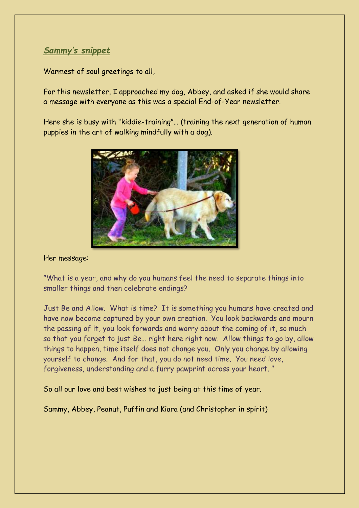# *Sammy's snippet*

Warmest of soul greetings to all,

For this newsletter, I approached my dog, Abbey, and asked if she would share a message with everyone as this was a special End-of-Year newsletter.

Here she is busy with "kiddie-training"… (training the next generation of human puppies in the art of walking mindfully with a dog).



### Her message:

"What is a year, and why do you humans feel the need to separate things into smaller things and then celebrate endings?

Just Be and Allow. What is time? It is something you humans have created and have now become captured by your own creation. You look backwards and mourn the passing of it, you look forwards and worry about the coming of it, so much so that you forget to just Be… right here right now. Allow things to go by, allow things to happen, time itself does not change you. Only you change by allowing yourself to change. And for that, you do not need time. You need love, forgiveness, understanding and a furry pawprint across your heart. "

So all our love and best wishes to just being at this time of year.

Sammy, Abbey, Peanut, Puffin and Kiara (and Christopher in spirit)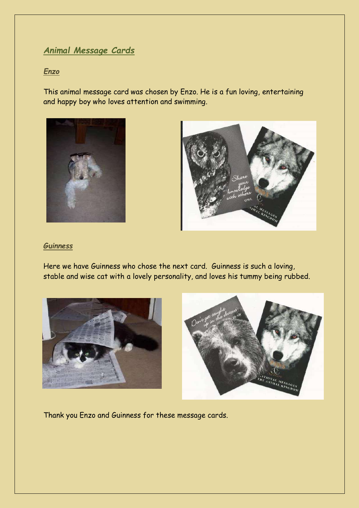# *Animal Message Cards*

#### *Enzo*

This animal message card was chosen by Enzo. He is a fun loving, entertaining and happy boy who loves attention and swimming.





### *Guinness*

Here we have Guinness who chose the next card. Guinness is such a loving, stable and wise cat with a lovely personality, and loves his tummy being rubbed.





Thank you Enzo and Guinness for these message cards.